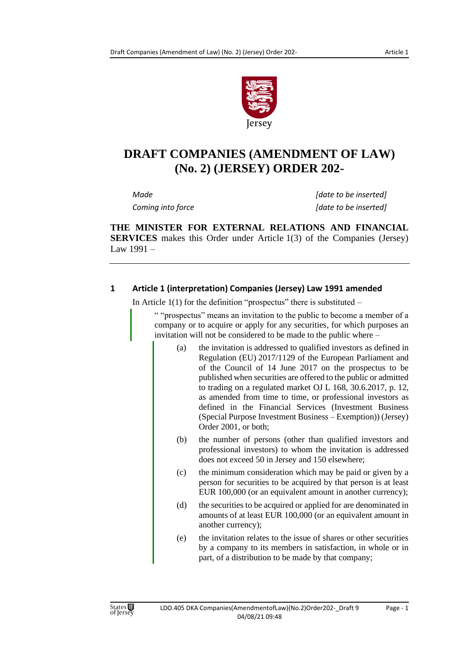

## **DRAFT COMPANIES (AMENDMENT OF LAW) (No. 2) (JERSEY) ORDER 202-**

*Made [date to be inserted] Coming into force [date to be inserted]*

**THE MINISTER FOR EXTERNAL RELATIONS AND FINANCIAL SERVICES** makes this Order under Article 1(3) of the Companies (Jersey) Law 1991 –

## **1 Article 1 (interpretation) Companies (Jersey) Law 1991 amended**

In Article  $1(1)$  for the definition "prospectus" there is substituted –

" "prospectus" means an invitation to the public to become a member of a company or to acquire or apply for any securities, for which purposes an invitation will not be considered to be made to the public where –

- (a) the invitation is addressed to qualified investors as defined in Regulation (EU) 2017/1129 of the European Parliament and of the Council of 14 June 2017 on the prospectus to be published when securities are offered to the public or admitted to trading on a regulated market OJ L 168, 30.6.2017, p. 12, as amended from time to time, or professional investors as defined in the Financial Services (Investment Business (Special Purpose Investment Business – Exemption)) (Jersey) Order 2001, or both;
- (b) the number of persons (other than qualified investors and professional investors) to whom the invitation is addressed does not exceed 50 in Jersey and 150 elsewhere;
- (c) the minimum consideration which may be paid or given by a person for securities to be acquired by that person is at least EUR 100,000 (or an equivalent amount in another currency):
- (d) the securities to be acquired or applied for are denominated in amounts of at least EUR 100,000 (or an equivalent amount in another currency);
- (e) the invitation relates to the issue of shares or other securities by a company to its members in satisfaction, in whole or in part, of a distribution to be made by that company;